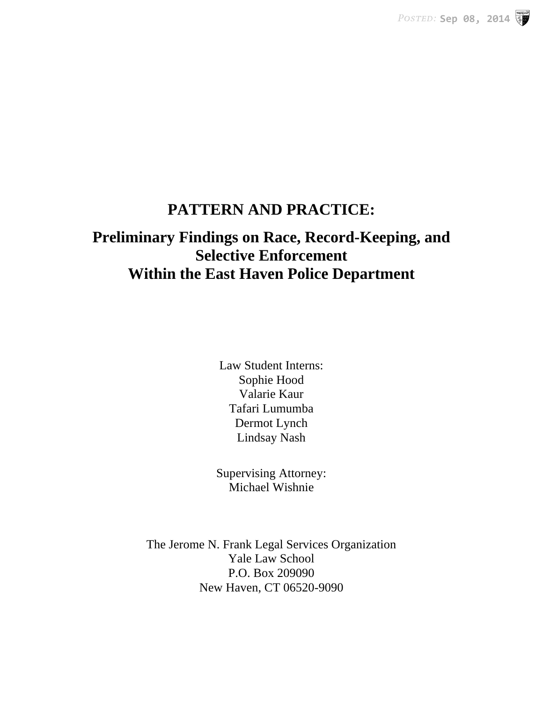**POSTED: Sep 08, 2014** 

## **PATTERN AND PRACTICE:**

# **Preliminary Findings on Race, Record-Keeping, and Selective Enforcement Within the East Haven Police Department**

Law Student Interns: Sophie Hood Valarie Kaur Tafari Lumumba Dermot Lynch Lindsay Nash

Supervising Attorney: Michael Wishnie

The Jerome N. Frank Legal Services Organization Yale Law School P.O. Box 209090 New Haven, CT 06520-9090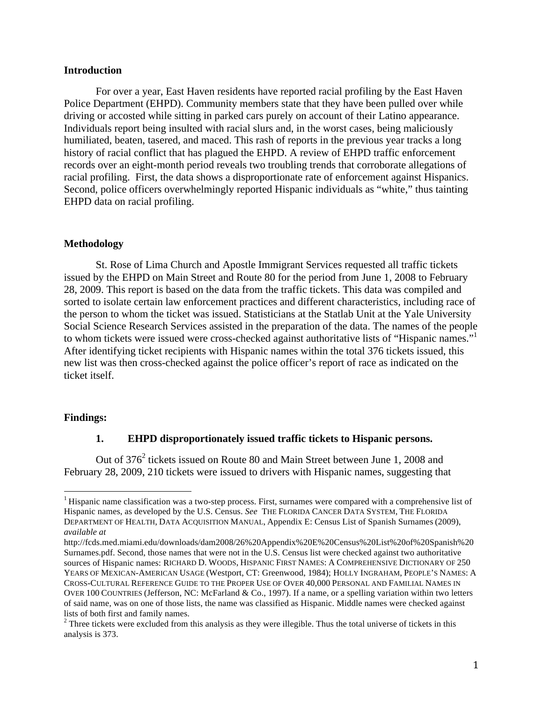#### **Introduction**

For over a year, East Haven residents have reported racial profiling by the East Haven Police Department (EHPD). Community members state that they have been pulled over while driving or accosted while sitting in parked cars purely on account of their Latino appearance. Individuals report being insulted with racial slurs and, in the worst cases, being maliciously humiliated, beaten, tasered, and maced. This rash of reports in the previous year tracks a long history of racial conflict that has plagued the EHPD. A review of EHPD traffic enforcement records over an eight-month period reveals two troubling trends that corroborate allegations of racial profiling. First, the data shows a disproportionate rate of enforcement against Hispanics. Second, police officers overwhelmingly reported Hispanic individuals as "white," thus tainting EHPD data on racial profiling.

#### **Methodology**

St. Rose of Lima Church and Apostle Immigrant Services requested all traffic tickets issued by the EHPD on Main Street and Route 80 for the period from June 1, 2008 to February 28, 2009. This report is based on the data from the traffic tickets. This data was compiled and sorted to isolate certain law enforcement practices and different characteristics, including race of the person to whom the ticket was issued. Statisticians at the Statlab Unit at the Yale University Social Science Research Services assisted in the preparation of the data. The names of the people to whom tickets were issued were cross-checked against authoritative lists of "Hispanic names."<sup>1</sup> After identifying ticket recipients with Hispanic names within the total 376 tickets issued, this new list was then cross-checked against the police officer's report of race as indicated on the ticket itself.

#### **Findings:**

#### **1. EHPD disproportionately issued traffic tickets to Hispanic persons.**

Out of  $376<sup>2</sup>$  tickets issued on Route 80 and Main Street between June 1, 2008 and February 28, 2009, 210 tickets were issued to drivers with Hispanic names, suggesting that

<sup>&</sup>lt;sup>1</sup> Hispanic name classification was a two-step process. First, surnames were compared with a comprehensive list of Hispanic names, as developed by the U.S. Census. *See* THE FLORIDA CANCER DATA SYSTEM, THE FLORIDA DEPARTMENT OF HEALTH, DATA ACQUISITION MANUAL, Appendix E: Census List of Spanish Surnames (2009), *available at* 

http://fcds.med.miami.edu/downloads/dam2008/26%20Appendix%20E%20Census%20List%20of%20Spanish%20 Surnames.pdf. Second, those names that were not in the U.S. Census list were checked against two authoritative sources of Hispanic names: RICHARD D. WOODS, HISPANIC FIRST NAMES: A COMPREHENSIVE DICTIONARY OF 250 YEARS OF MEXICAN-AMERICAN USAGE (Westport, CT: Greenwood, 1984); HOLLY INGRAHAM, PEOPLE'S NAMES: A CROSS-CULTURAL REFERENCE GUIDE TO THE PROPER USE OF OVER 40,000 PERSONAL AND FAMILIAL NAMES IN OVER 100 COUNTRIES (Jefferson, NC: McFarland & Co., 1997). If a name, or a spelling variation within two letters of said name, was on one of those lists, the name was classified as Hispanic. Middle names were checked against lists of both first and family names.

 $2^2$  Three tickets were excluded from this analysis as they were illegible. Thus the total universe of tickets in this analysis is 373.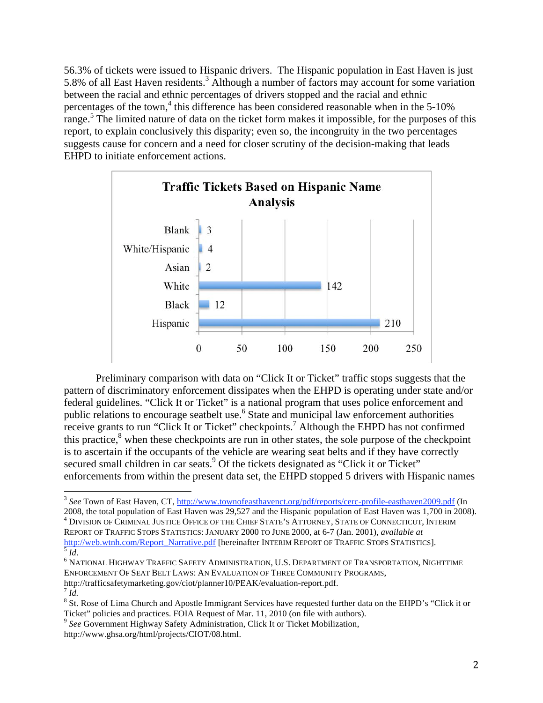56.3% of tickets were issued to Hispanic drivers. The Hispanic population in East Haven is just 5.8% of all East Haven residents.<sup>3</sup> Although a number of factors may account for some variation between the racial and ethnic percentages of drivers stopped and the racial and ethnic percentages of the town,<sup>4</sup> this difference has been considered reasonable when in the  $5\n-10\%$ range.<sup>5</sup> The limited nature of data on the ticket form makes it impossible, for the purposes of this report, to explain conclusively this disparity; even so, the incongruity in the two percentages suggests cause for concern and a need for closer scrutiny of the decision-making that leads EHPD to initiate enforcement actions.



Preliminary comparison with data on "Click It or Ticket" traffic stops suggests that the pattern of discriminatory enforcement dissipates when the EHPD is operating under state and/or federal guidelines. "Click It or Ticket" is a national program that uses police enforcement and public relations to encourage seatbelt use.<sup>6</sup> State and municipal law enforcement authorities receive grants to run "Click It or Ticket" checkpoints.<sup>7</sup> Although the EHPD has not confirmed this practice,<sup>8</sup> when these checkpoints are run in other states, the sole purpose of the checkpoint is to ascertain if the occupants of the vehicle are wearing seat belts and if they have correctly secured small children in car seats.<sup>9</sup> Of the tickets designated as "Click it or Ticket" enforcements from within the present data set, the EHPD stopped 5 drivers with Hispanic names

<sup>&</sup>lt;sup>3</sup> See Town of East Haven, CT, http://www.townofeasthavenct.org/pdf/reports/cerc-profile-easthaven2009.pdf (In

<sup>2008,</sup> the total population of East Haven was 29,527 and the Hispanic population of East Haven was 1,700 in 2008). <sup>4</sup> DIVISION OF CRIMINAL JUSTICE OFFICE OF THE CHIEF STATE'S ATTORNEY, STATE OF CONNECTICUT, INTERIM REPORT OF TRAFFIC STOPS STATISTICS: JANUARY 2000 TO JUNE 2000, at 6-7 (Jan. 2001), *available at* 

eder INTERIMATIVE.<br>Formational Report of Traffic Stopher Administration, U.S. Department of Transportation, Nighttime ENFORCEMENT OF SEAT BELT LAWS: AN EVALUATION OF THREE COMMUNITY PROGRAMS, http://trafficsafetymarketing.gov/ciot/planner10/PEAK/evaluation-report.pdf. <sup>7</sup> *Id.*

 $8$  St. Rose of Lima Church and Apostle Immigrant Services have requested further data on the EHPD's "Click it or Ticket" policies and practices. FOIA Request of Mar. 11, 2010 (on file with authors).

<sup>9</sup> *See* Government Highway Safety Administration, Click It or Ticket Mobilization, http://www.ghsa.org/html/projects/CIOT/08.html.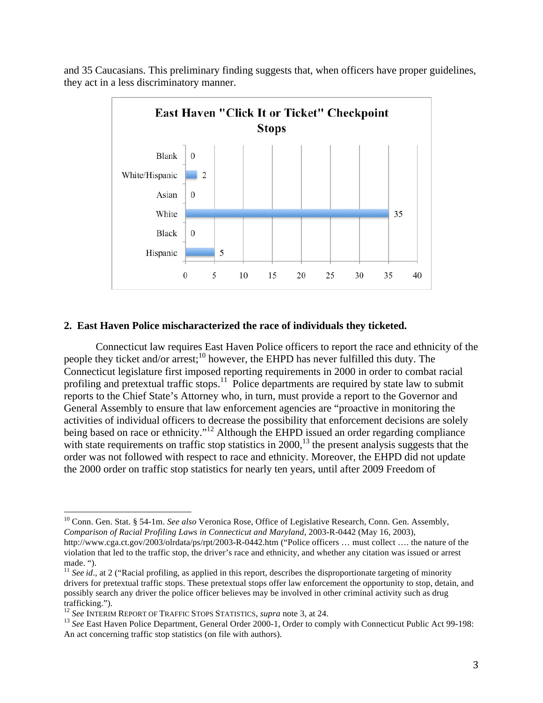

and 35 Caucasians. This preliminary finding suggests that, when officers have proper guidelines, they act in a less discriminatory manner.

#### **2. East Haven Police mischaracterized the race of individuals they ticketed.**

Connecticut law requires East Haven Police officers to report the race and ethnicity of the people they ticket and/or arrest;<sup>10</sup> however, the EHPD has never fulfilled this duty. The Connecticut legislature first imposed reporting requirements in 2000 in order to combat racial profiling and pretextual traffic stops.<sup>11</sup> Police departments are required by state law to submit reports to the Chief State's Attorney who, in turn, must provide a report to the Governor and General Assembly to ensure that law enforcement agencies are "proactive in monitoring the activities of individual officers to decrease the possibility that enforcement decisions are solely being based on race or ethnicity."<sup>12</sup> Although the EHPD issued an order regarding compliance with state requirements on traffic stop statistics in  $2000$ ,<sup>13</sup> the present analysis suggests that the order was not followed with respect to race and ethnicity. Moreover, the EHPD did not update the 2000 order on traffic stop statistics for nearly ten years, until after 2009 Freedom of

<sup>&</sup>lt;sup>10</sup> Conn. Gen. Stat. § 54-1m. *See also* Veronica Rose, Office of Legislative Research, Conn. Gen. Assembly, *Comparison of Racial Profiling Laws in Connecticut and Maryland*, 2003-R-0442 (May 16, 2003),

http://www.cga.ct.gov/2003/olrdata/ps/rpt/2003-R-0442.htm ("Police officers … must collect …. the nature of the violation that led to the traffic stop, the driver's race and ethnicity, and whether any citation was issued or arrest made. ").

<sup>&</sup>lt;sup>11</sup> *See* id., at 2 ("Racial profiling, as applied in this report, describes the disproportionate targeting of minority drivers for pretextual traffic stops. These pretextual stops offer law enforcement the opportunity to stop, detain, and possibly search any driver the police officer believes may be involved in other criminal activity such as drug trafficking.").<br><sup>12</sup> See INTERIM REPORT OF TRAFFIC STOPS STATISTICS, *supra* note 3, at 24.

<sup>&</sup>lt;sup>13</sup> See East Haven Police Department, General Order 2000-1, Order to comply with Connecticut Public Act 99-198: An act concerning traffic stop statistics (on file with authors).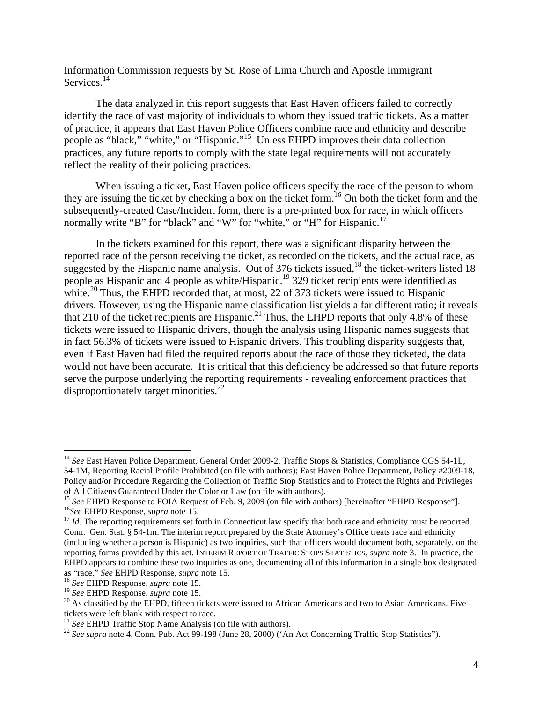Information Commission requests by St. Rose of Lima Church and Apostle Immigrant Services.<sup>14</sup>

The data analyzed in this report suggests that East Haven officers failed to correctly identify the race of vast majority of individuals to whom they issued traffic tickets. As a matter of practice, it appears that East Haven Police Officers combine race and ethnicity and describe people as "black," "white," or "Hispanic."<sup>15</sup> Unless EHPD improves their data collection practices, any future reports to comply with the state legal requirements will not accurately reflect the reality of their policing practices.

When issuing a ticket, East Haven police officers specify the race of the person to whom they are issuing the ticket by checking a box on the ticket form.16 On both the ticket form and the subsequently-created Case/Incident form, there is a pre-printed box for race, in which officers normally write "B" for "black" and "W" for "white," or "H" for Hispanic.<sup>17</sup>

In the tickets examined for this report, there was a significant disparity between the reported race of the person receiving the ticket, as recorded on the tickets, and the actual race, as suggested by the Hispanic name analysis. Out of 376 tickets issued,<sup>18</sup> the ticket-writers listed 18 people as Hispanic and 4 people as white/Hispanic.<sup>19</sup> 329 ticket recipients were identified as white.<sup>20</sup> Thus, the EHPD recorded that, at most, 22 of 373 tickets were issued to Hispanic drivers. However, using the Hispanic name classification list yields a far different ratio; it reveals that 210 of the ticket recipients are Hispanic.<sup>21</sup> Thus, the EHPD reports that only 4.8% of these tickets were issued to Hispanic drivers, though the analysis using Hispanic names suggests that in fact 56.3% of tickets were issued to Hispanic drivers. This troubling disparity suggests that, even if East Haven had filed the required reports about the race of those they ticketed, the data would not have been accurate. It is critical that this deficiency be addressed so that future reports serve the purpose underlying the reporting requirements - revealing enforcement practices that disproportionately target minorities.<sup>22</sup>

<sup>&</sup>lt;sup>14</sup> See East Haven Police Department, General Order 2009-2, Traffic Stops & Statistics, Compliance CGS 54-1L, 54-1M, Reporting Racial Profile Prohibited (on file with authors); East Haven Police Department, Policy #2009-18, Policy and/or Procedure Regarding the Collection of Traffic Stop Statistics and to Protect the Rights and Privileges of All Citizens Guaranteed Under the Color or Law (on file with authors).

<sup>&</sup>lt;sup>15</sup> See EHPD Response to FOIA Request of Feb. 9, 2009 (on file with authors) [hereinafter "EHPD Response"].<br><sup>16</sup> See EHPD Response, *supra* note 15.<br><sup>17</sup> Id. The reporting requirements set forth in Connecticut law specif

Conn. Gen. Stat. § 54-1m. The interim report prepared by the State Attorney's Office treats race and ethnicity (including whether a person is Hispanic) as two inquiries, such that officers would document both, separately, on the reporting forms provided by this act. INTERIM REPORT OF TRAFFIC STOPS STATISTICS, *supra* note 3. In practice, the EHPD appears to combine these two inquiries as one, documenting all of this information in a single box designated

as "race." See EHPD Response, supra note 15.<br><sup>18</sup> See EHPD Response, supra note 15.<br><sup>19</sup> See EHPD Response, supra note 15.<br><sup>20</sup> As classified by the EHPD, fifteen tickets were issued to African Americans and two to Asian tickets were left blank with respect to race.<br><sup>21</sup> See EHPD Traffic Stop Name Analysis (on file with authors).<br><sup>22</sup> See supra note 4, Conn. Pub. Act 99-198 (June 28, 2000) ('An Act Concerning Traffic Stop Statistics'').